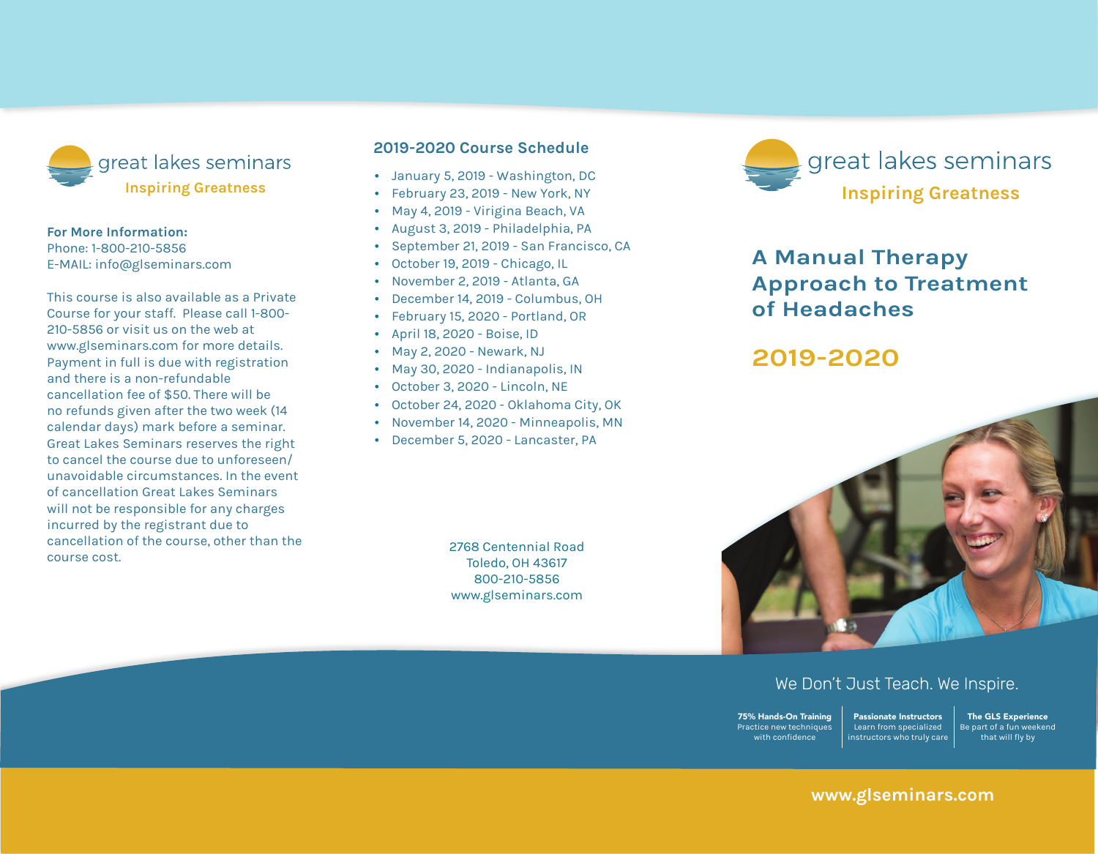

#### **For More Information:**

Phone: 1-800-210-5856 E-mail: info@glseminars.com

Payment in full is due with registration and there is a non-refundable cancellation fee of \$50. There will be no refunds given within two weeks (14 calendar days) of the seminar. Great Lakes Seminars reserves the right to cancel the course due to unforeseen/ unavoidable circumstances. In the event of a cancellation Great Lakes Seminars will not be responsible for any charges incurred by the registrant other than the course cost.

This course is also available as a private course for your staff. Please call 1-800-210-5856 or visit us on the web at www.glseminars.com for more details.

# **2022 Course Schedule**

- January 8, 2022 Newark, NJ
- January 22, 2021 Online & Toledo, OH
- April 30, 2022 Indianapolis, IN
- June 25, 2022 Lansing, MI
- July 23, 2022 Hunstville, AL
- September 17, 2022 Boise, ID
- December 3, 2022 Online & Toledo, OH

Please check our website for the most updated schedule: www.glseminars.com



# **A Manual Therapy Approach to Treatment of Headaches**

**2022**



# We Don't Just Teach. We Inspire.

75% Hands-On Training Practice new techniques with confidence Passionate Instructors Learn from specialized instructors who truly care

The GLS Experience Be part of a fun weekend that will fly by

# **www.glseminars.com**